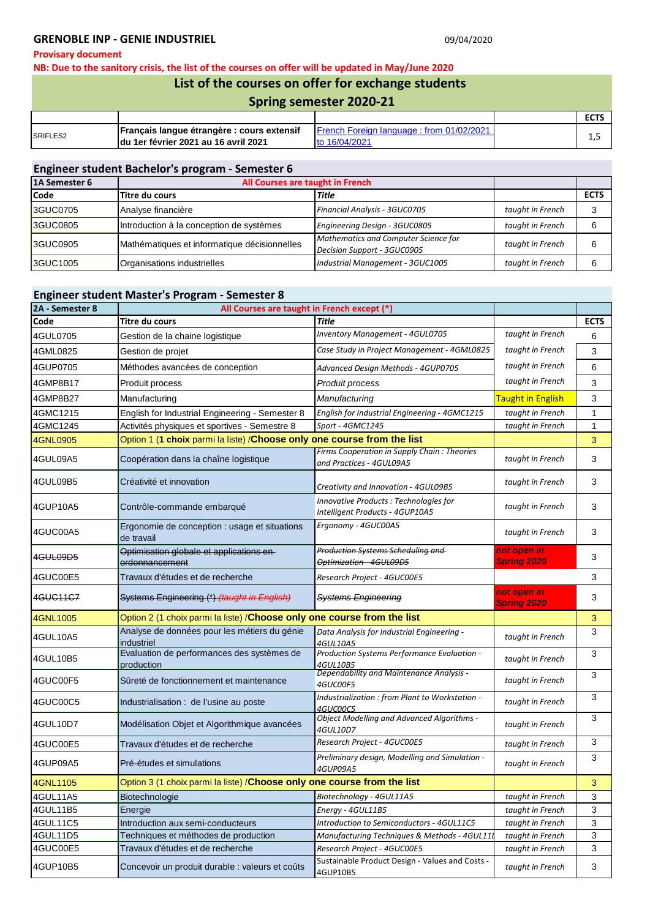### GRENOBLE INP - GENIE INDUSTRIEL **CONVERTS AND THE SERVICE OF A CONVERTS AND ACCOUNT** OF 09/04/2020

#### **Provisary document**

**NB: Due to the sanitory crisis, the list of the courses on offer will be updated in May/June 2020**

# **List of the courses on offer for exchange students**

|  | <b>Spring semester 2020-21</b> |  |
|--|--------------------------------|--|
|--|--------------------------------|--|

|                      |                                                                                      |                                                                             | <b>FCTC</b><br>ᄄᄓ |
|----------------------|--------------------------------------------------------------------------------------|-----------------------------------------------------------------------------|-------------------|
| SRIFLES <sub>2</sub> | 'Français langue étrangère : cours extensif<br>Idu 1er février 2021 au 16 avril 2021 | <b>IFrench Foreign language: from 01/02/2021</b><br><sup>16/04/202' (</sup> | ن رند             |

## **Engineer student Bachelor's program - Semester 6**

| 1A Semester 6 | All Courses are taught in French             |                                                                     |                  |             |
|---------------|----------------------------------------------|---------------------------------------------------------------------|------------------|-------------|
| <b>Code</b>   | Titre du cours                               | Title                                                               |                  | <b>ECTS</b> |
| 3GUC0705      | Analyse financière                           | Financial Analysis - 3GUC0705                                       | taught in French |             |
| 3GUC0805      | Introduction à la conception de systèmes     | Engineering Design - 3GUC0805                                       | taught in French | 6           |
| 3GUC0905      | Mathématiques et informatique décisionnelles | Mathematics and Computer Science for<br>Decision Support - 3GUC0905 | taught in French | 6           |
| 3GUC1005      | Organisations industrielles                  | Industrial Management - 3GUC1005                                    | taught in French | 6           |

# **Engineer student Master's Program - Semester 8**

| 2A - Semester 8 | All Courses are taught in French except (*)                              |                                                                          |                                   |              |
|-----------------|--------------------------------------------------------------------------|--------------------------------------------------------------------------|-----------------------------------|--------------|
| Code            | Titre du cours                                                           | <b>Title</b>                                                             |                                   | <b>ECTS</b>  |
| 4GUL0705        | Gestion de la chaine logistique                                          | <b>Inventory Management - 4GUL0705</b>                                   | taught in French                  | 6            |
| 4GML0825        | Gestion de projet                                                        | Case Study in Project Management - 4GML0825                              | taught in French                  | 3            |
| 4GUP0705        | Méthodes avancées de conception                                          | Advanced Design Methods - 4GUP0705                                       | taught in French                  | 6            |
| 4GMP8B17        | Produit process                                                          | Produit process                                                          | taught in French                  | 3            |
| 4GMP8B27        | Manufacturing                                                            | Manufacturing                                                            | <b>Taught in English</b>          | 3            |
| 4GMC1215        | English for Industrial Engineering - Semester 8                          | English for Industrial Engineering - 4GMC1215                            | taught in French                  | 1            |
| 4GMC1245        | Activités physiques et sportives - Semestre 8                            | Sport - 4GMC1245                                                         | taught in French                  | $\mathbf{1}$ |
| <b>4GNL0905</b> | Option 1 (1 choix parmi la liste) / Choose only one course from the list |                                                                          |                                   | 3            |
| 4GUL09A5        | Coopération dans la chaîne logistique                                    | Firms Cooperation in Supply Chain: Theories<br>and Practices - 4GUL09A5  | taught in French                  | 3            |
| 4GUL09B5        | Créativité et innovation                                                 | Creativity and Innovation - 4GUL09B5                                     | taught in French                  | 3            |
| 4GUP10A5        | Contrôle-commande embarqué                                               | Innovative Products: Technologies for<br>Intelligent Products - 4GUP10A5 | taught in French                  | 3            |
| 4GUC00A5        | Ergonomie de conception : usage et situations<br>de travail              | Ergonomy - 4GUC00A5                                                      | taught in French                  | 3            |
| 4GUL09D5        | Optimisation globale et applications en-<br>ordonnancement               | <b>Production Systems Scheduling and</b><br>Optimization - 4GUL09D5      | not open in<br><b>Spring 2020</b> | 3            |
| 4GUC00E5        | Travaux d'études et de recherche                                         | Research Project - 4GUC00E5                                              |                                   | 3            |
| 4GUC11C7        | Systems Engineering (*) (taught in English)                              | <b>Systems Engineering</b>                                               | not open in<br><b>Spring 2020</b> | 3            |
| 4GNL1005        | Option 2 (1 choix parmi la liste) / Choose only one course from the list |                                                                          |                                   | 3            |
| 4GUL10A5        | Analyse de données pour les métiers du génie<br>industriel               | Data Analysis for Industrial Engineering -<br>4GUL10A5                   | taught in French                  | 3            |
| 4GUL10B5        | Evaluation de performances des systèmes de<br>production                 | Production Systems Performance Evaluation -<br>4GUL10B5                  | taught in French                  | 3            |
| 4GUC00F5        | Sûreté de fonctionnement et maintenance                                  | Dependability and Maintenance Analysis -<br><i><b>4GUCOOF5</b></i>       | taught in French                  | 3            |
| 4GUC00C5        | Industrialisation : de l'usine au poste                                  | Industrialization : from Plant to Workstation -<br>4GUC00C5              | taught in French                  | 3            |
| 4GUL10D7        | Modélisation Objet et Algorithmique avancées                             | <b>Object Modelling and Advanced Algorithms -</b><br>4GUL10D7            | taught in French                  | 3            |
| 4GUC00E5        | Travaux d'études et de recherche                                         | Research Project - 4GUC00E5                                              | taught in French                  | 3            |
| 4GUP09A5        | Pré-études et simulations                                                | Preliminary design, Modelling and Simulation -<br>4GUP09A5               | taught in French                  | 3            |
| 4GNL1105        | Option 3 (1 choix parmi la liste) / Choose only one course from the list |                                                                          |                                   | 3            |
| 4GUL11A5        | Biotechnologie                                                           | Biotechnology - 4GUL11A5                                                 | taught in French                  | 3            |
| 4GUL11B5        | Energie                                                                  | Energy - 4GUL11B5                                                        | taught in French                  | 3            |
| 4GUL11C5        | Introduction aux semi-conducteurs                                        | Introduction to Semiconductors - 4GUL11C5                                | taught in French                  | 3            |
| 4GUL11D5        | Techniques et méthodes de production                                     | Manufacturing Techniques & Methods - 4GUL11                              | taught in French                  | 3            |
| 4GUC00E5        | Travaux d'études et de recherche                                         | Research Project - 4GUC00E5                                              | taught in French                  | 3            |
| 4GUP10B5        | Concevoir un produit durable : valeurs et coûts                          | Sustainable Product Design - Values and Costs -<br>4GUP10B5              | taught in French                  | 3            |